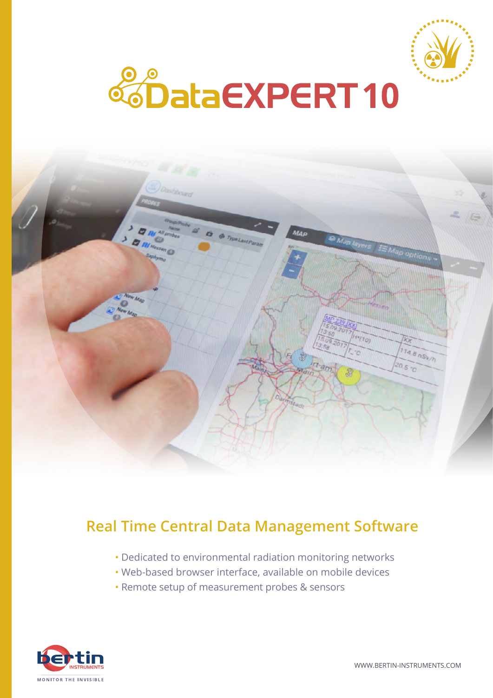





# **Real Time Central Data Management Software**

- Dedicated to environmental radiation monitoring networks
- Web-based browser interface, available on mobile devices
- Remote setup of measurement probes & sensors